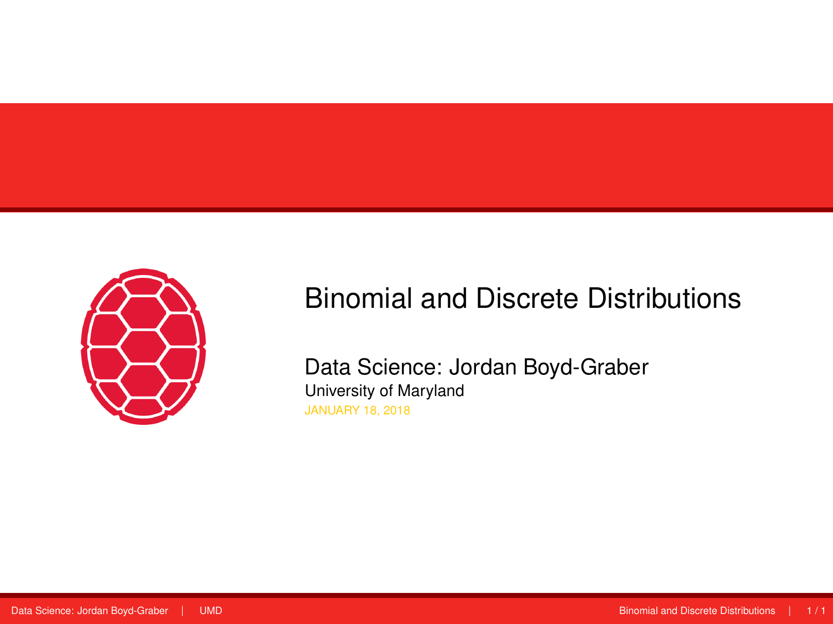<span id="page-0-0"></span>

# Binomial and Discrete Distributions

Data Science: Jordan Boyd-Graber University of Maryland JANUARY 18, 2018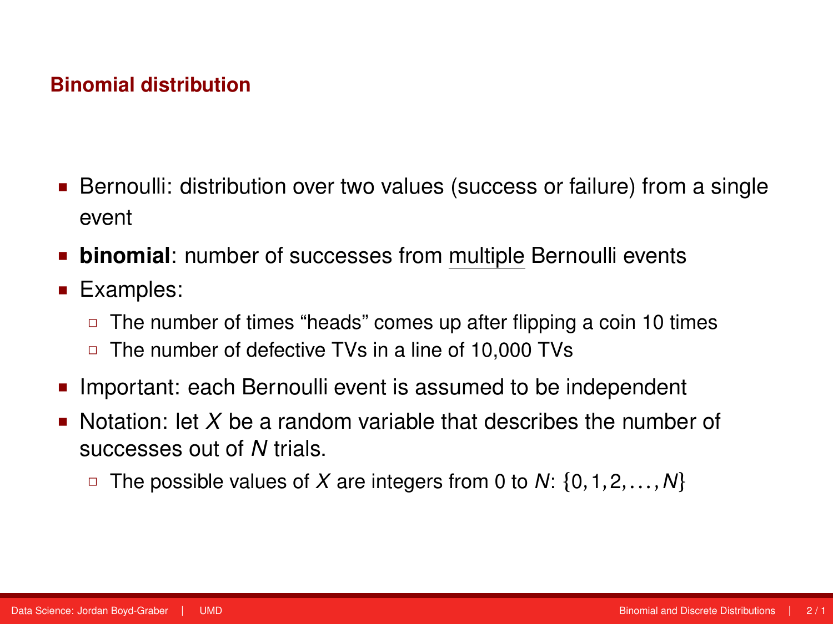- **Bernoulli: distribution over two values (success or failure) from a single** event
- **binomial**: number of successes from multiple Bernoulli events
- Examples:
	- $\Box$  The number of times "heads" comes up after flipping a coin 10 times
	- □ The number of defective TVs in a line of 10,000 TVs
- Important: each Bernoulli event is assumed to be independent
- Notation: let *X* be a random variable that describes the number of successes out of *N* trials.
	- The possible values of *X* are integers from 0 to *N*: {0,1,2,...,*N*}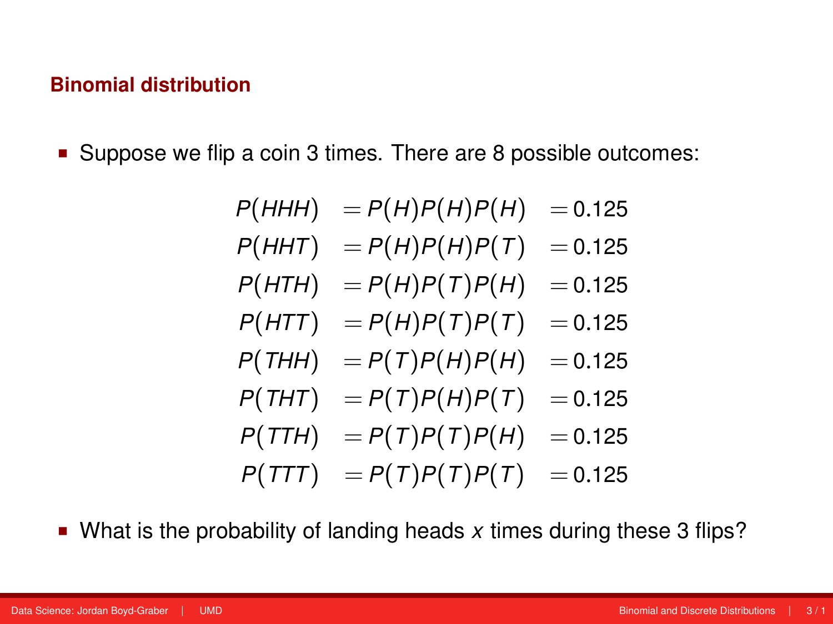■ Suppose we flip a coin 3 times. There are 8 possible outcomes:

$$
P(HHH) = P(H)P(H)P(H) = 0.125
$$
  
\n
$$
P(HHT) = P(H)P(H)P(T) = 0.125
$$
  
\n
$$
P(HTH) = P(H)P(T)P(H) = 0.125
$$
  
\n
$$
P(HTT) = P(H)P(T)P(T) = 0.125
$$
  
\n
$$
P(THH) = P(T)P(H)P(H) = 0.125
$$
  
\n
$$
P(THT) = P(T)P(H)P(T) = 0.125
$$
  
\n
$$
P(TTH) = P(T)P(T)P(H) = 0.125
$$
  
\n
$$
P(TTT) = P(T)P(T)P(T) = 0.125
$$

What is the probability of landing heads *x* times during these 3 flips?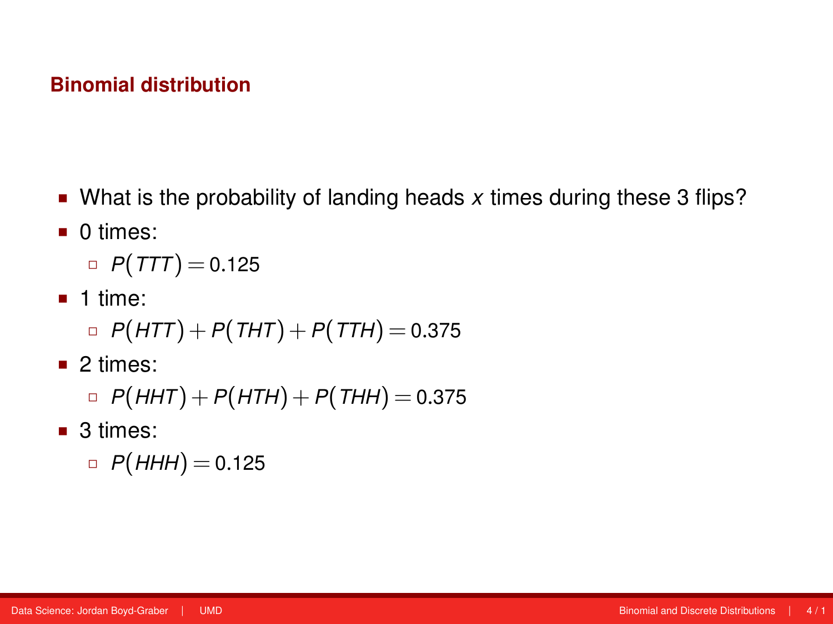- What is the probability of landing heads *x* times during these 3 flips?
- $\blacksquare$  0 times:
	- $P(TTT) = 0.125$
- $\blacksquare$  1 time:

$$
\Box P(HTT) + P(THT) + P(TTH) = 0.375
$$

■ 2 times:

$$
\Box P(HHT) + P(HTH) + P(THH) = 0.375
$$

■ 3 times:

$$
\Box P(HHH) = 0.125
$$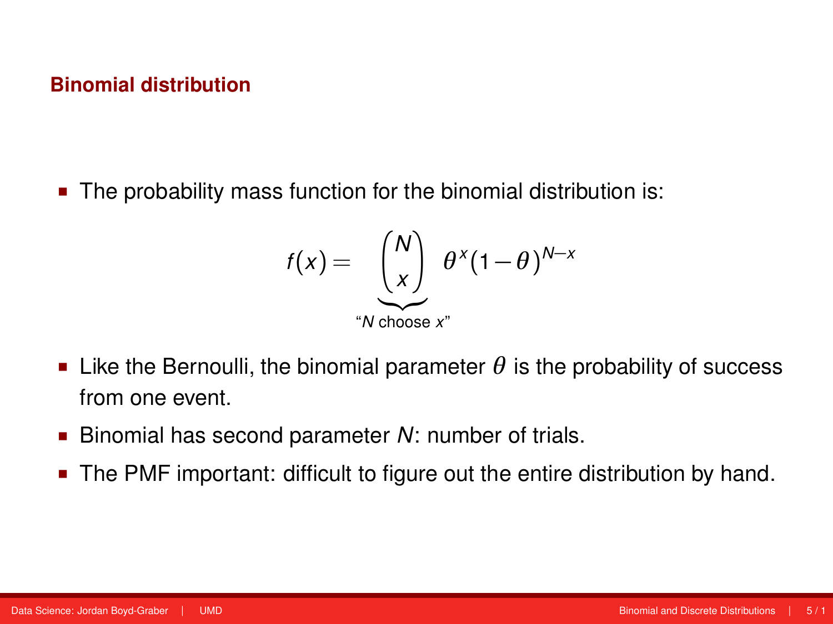The probability mass function for the binomial distribution is:

$$
f(x) = \underbrace{\begin{pmatrix} N \\ x \end{pmatrix}}_{\text{``N choose } x^n} \theta^x (1-\theta)^{N-x}
$$

- **Example 1** Like the Bernoulli, the binomial parameter  $\theta$  is the probability of success from one event.
- Binomial has second parameter *N*: number of trials.
- **The PMF important: difficult to figure out the entire distribution by hand.**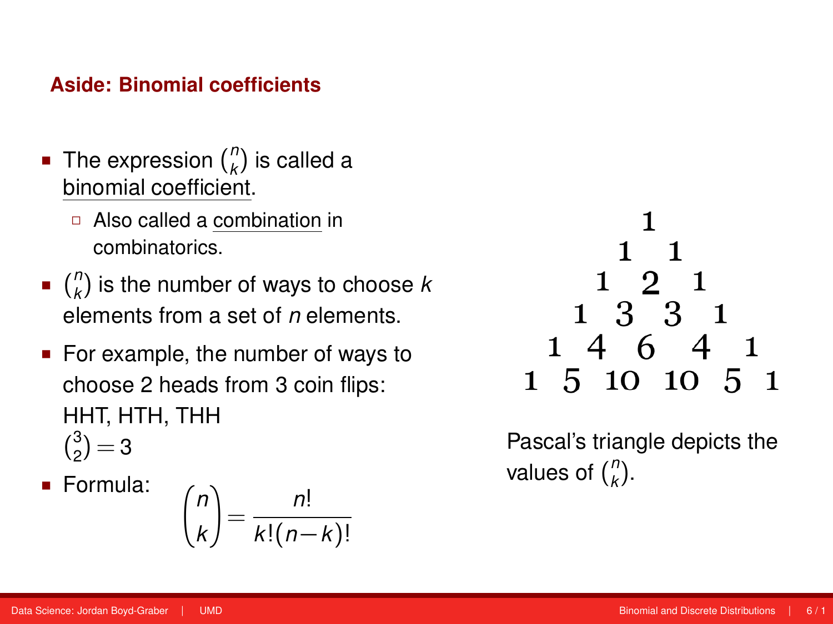#### **Aside: Binomial coefficients**

- The expression ( $\binom{n}{k}$  $\binom{n}{k}$  is called a binomial coefficient.
	- Also called a combination in combinatorics.
- $\blacksquare$   $\binom{n}{k}$ *k* ) is the number of ways to choose *k* elements from a set of *n* elements.
- For example, the number of ways to choose 2 heads from 3 coin flips: HHT, HTH, THH  $\binom{3}{2}$  $2^3$ ) = 3
- Formula:

$$
\binom{n}{k} = \frac{n!}{k!(n-k)!}
$$



Pascal's triangle depicts the values of ( *n k* ).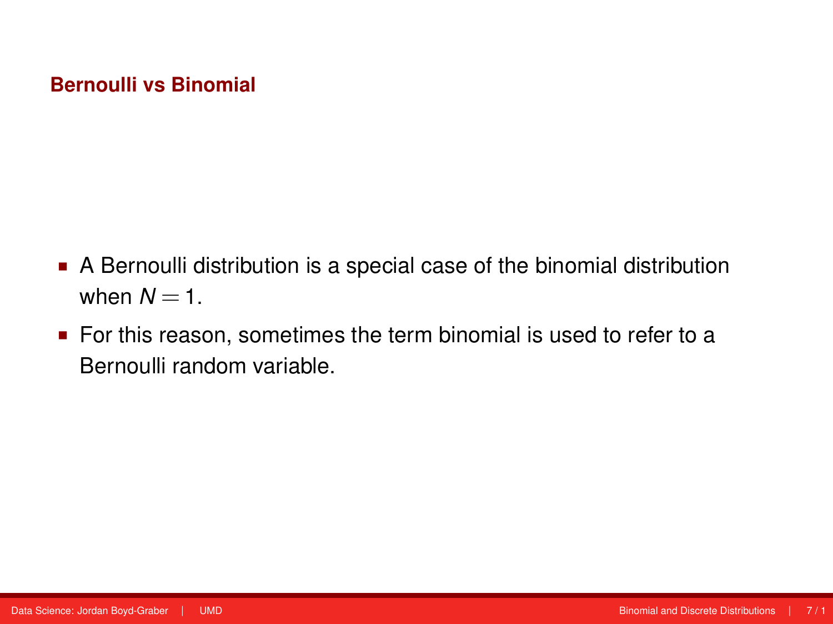### **Bernoulli vs Binomial**

- A Bernoulli distribution is a special case of the binomial distribution when  $N = 1$ .
- For this reason, sometimes the term binomial is used to refer to a Bernoulli random variable.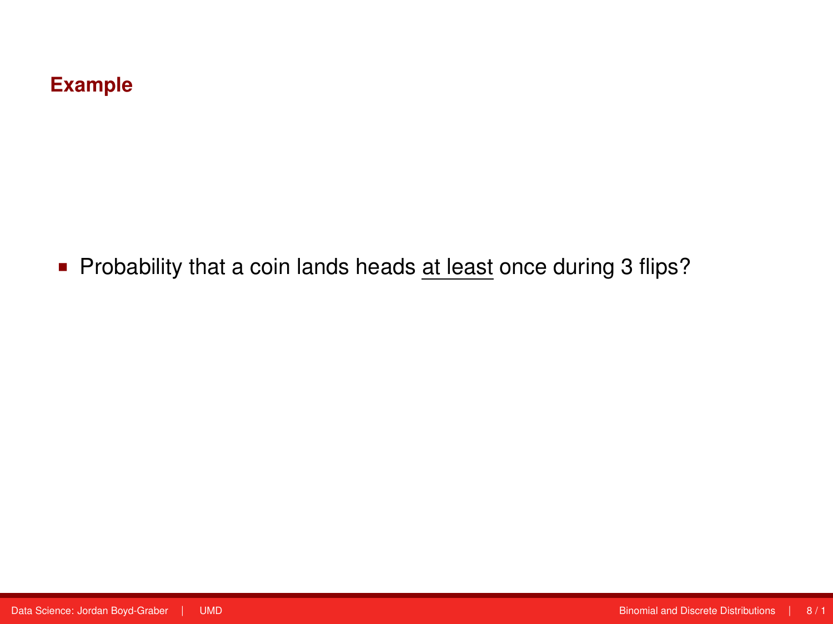# **Example**

**Probability that a coin lands heads at least once during 3 flips?**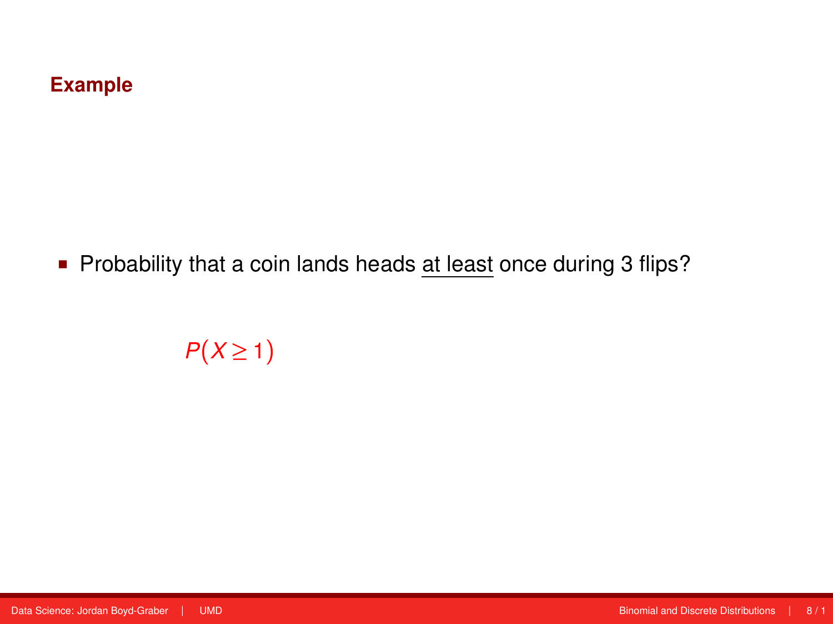# **Example**

**Probability that a coin lands heads at least once during 3 flips?** 

 $P(X \geq 1)$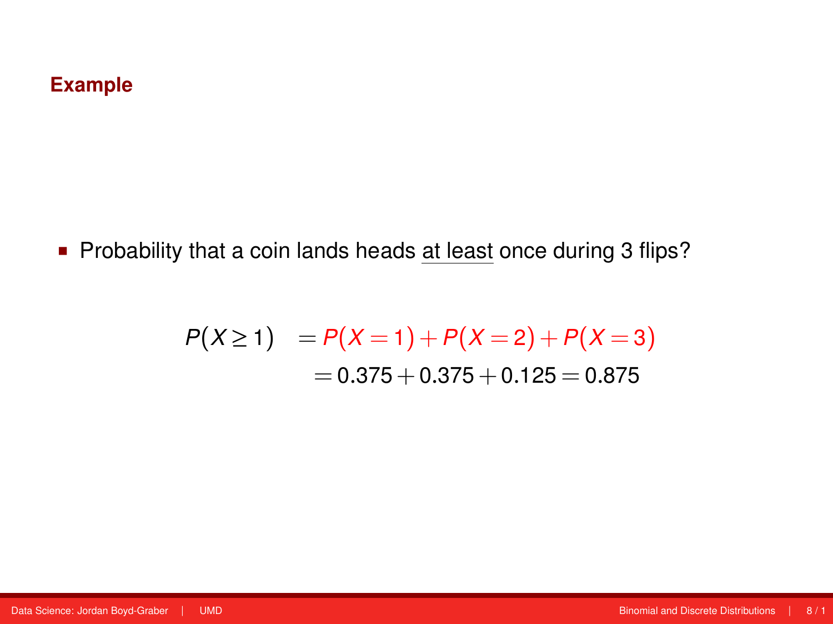# **Example**

**Probability that a coin lands heads at least once during 3 flips?** 

$$
P(X \ge 1) = P(X = 1) + P(X = 2) + P(X = 3)
$$
  
= 0.375 + 0.375 + 0.125 = 0.875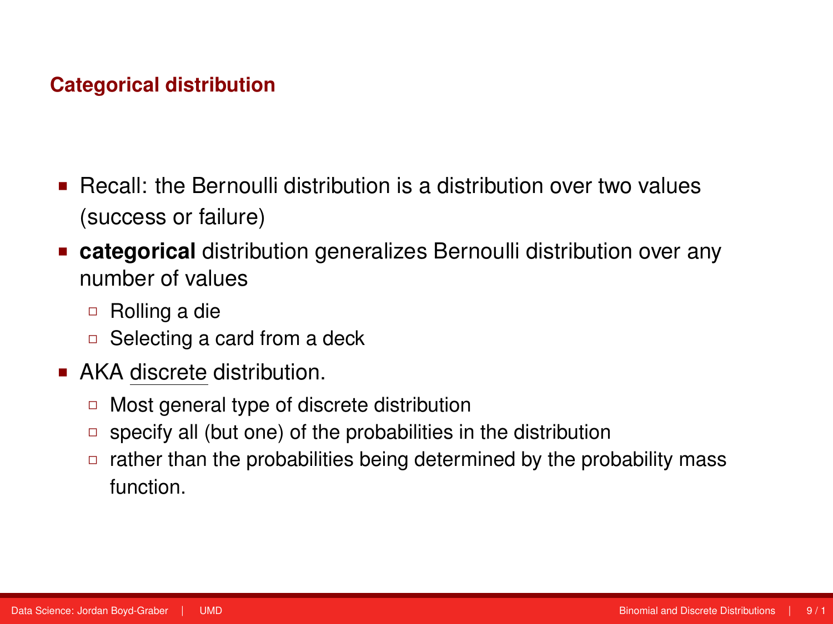### **Categorical distribution**

- **Becall: the Bernoulli distribution is a distribution over two values** (success or failure)
- **categorical** distribution generalizes Bernoulli distribution over any number of values
	- Rolling a die
	- Selecting a card from a deck
- **AKA discrete distribution.** 
	- □ Most general type of discrete distribution
	- $\Box$  specify all (but one) of the probabilities in the distribution
	- $\Box$  rather than the probabilities being determined by the probability mass function.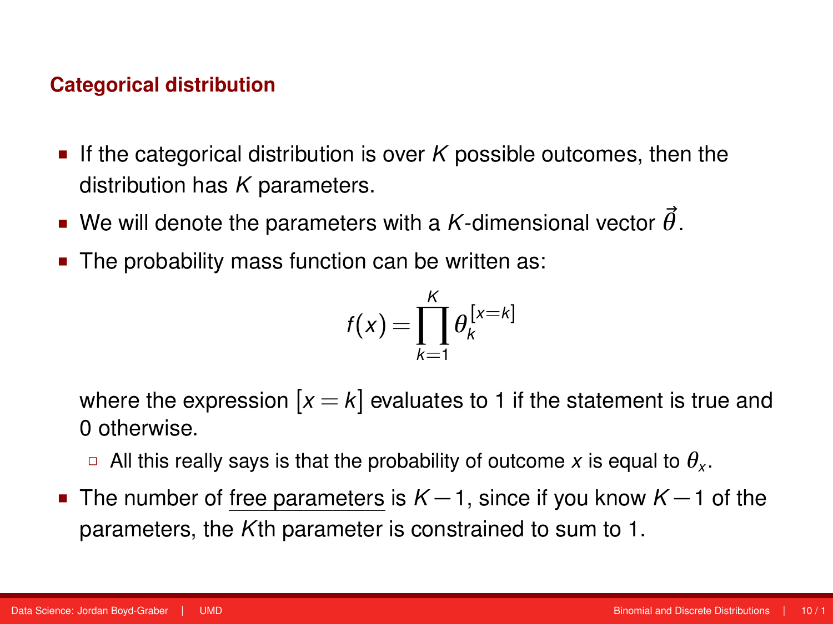#### **Categorical distribution**

- If the categorical distribution is over  $K$  possible outcomes, then the distribution has *K* parameters.
- We will denote the parameters with a *K*-dimensional vector  $\vec{\theta}$ .
- The probability mass function can be written as:

$$
f(x) = \prod_{k=1}^K \theta_k^{[x=k]}
$$

where the expression  $[x = k]$  evaluates to 1 if the statement is true and 0 otherwise.

- $\Box$  All this really says is that the probability of outcome  $x$  is equal to  $\theta_{\sf x}.$
- The number of free parameters is  $K-1$ , since if you know  $K-1$  of the parameters, the *K*th parameter is constrained to sum to 1.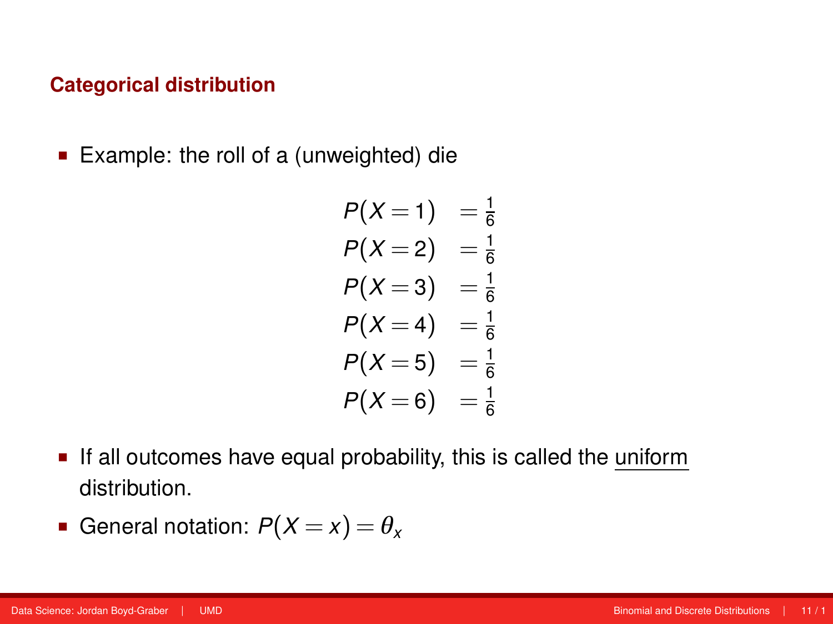#### **Categorical distribution**

■ Example: the roll of a (unweighted) die

$$
P(X = 1) = \frac{1}{6}
$$
  
\n
$$
P(X = 2) = \frac{1}{6}
$$
  
\n
$$
P(X = 3) = \frac{1}{6}
$$
  
\n
$$
P(X = 4) = \frac{1}{6}
$$
  
\n
$$
P(X = 5) = \frac{1}{6}
$$
  
\n
$$
P(X = 6) = \frac{1}{6}
$$

- If all outcomes have equal probability, this is called the uniform distribution.
- General notation:  $P(X = x) = \theta_x$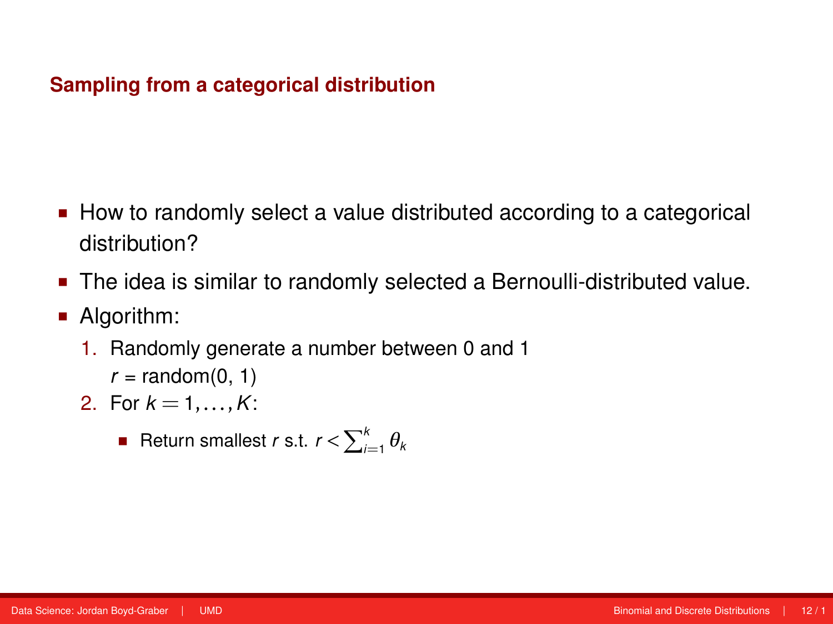- How to randomly select a value distributed according to a categorical distribution?
- The idea is similar to randomly selected a Bernoulli-distributed value.
- **Algorithm:** 
	- 1. Randomly generate a number between 0 and 1
		- $r = \text{random}(0, 1)$
	- 2. For  $k = 1, ..., K$ :
		- $\blacksquare$  Return smallest *r* s.t.  $r < \sum_{i=1}^{k} \theta_k$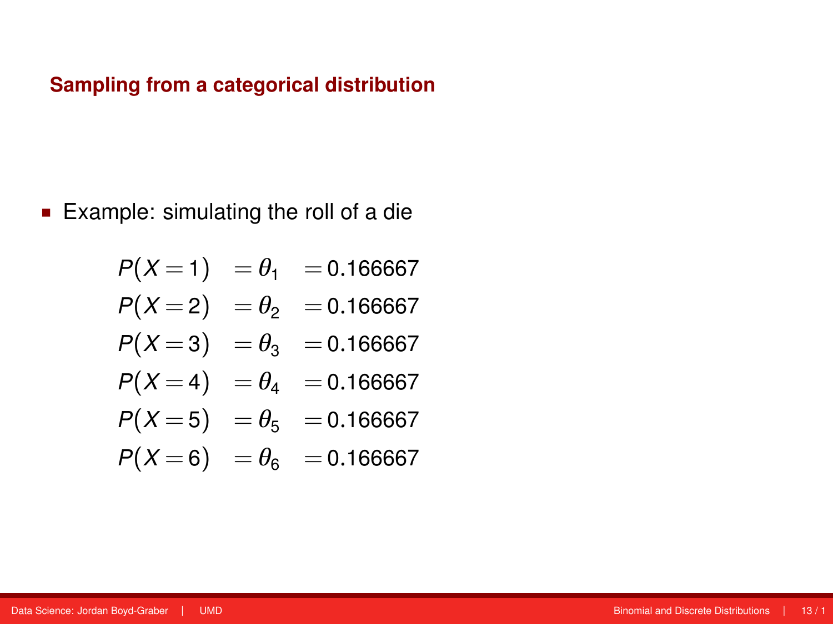Example: simulating the roll of a die

$$
P(X=1) = \theta_1 = 0.166667
$$
  
\n
$$
P(X=2) = \theta_2 = 0.166667
$$
  
\n
$$
P(X=3) = \theta_3 = 0.166667
$$
  
\n
$$
P(X=4) = \theta_4 = 0.166667
$$
  
\n
$$
P(X=5) = \theta_5 = 0.166667
$$
  
\n
$$
P(X=6) = \theta_6 = 0.166667
$$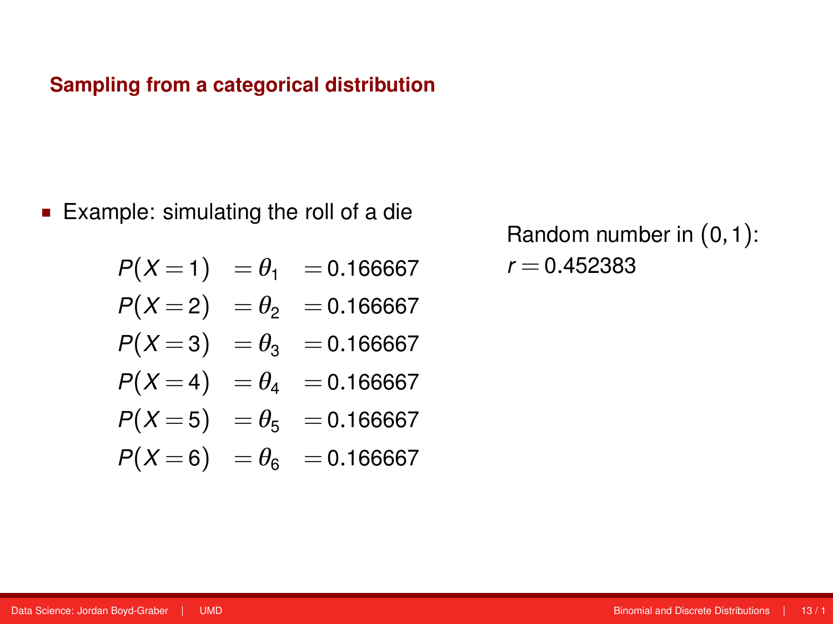Example: simulating the roll of a die

$$
P(X=1) = \theta_1 = 0.166667
$$

$$
P(X=2) = \theta_2 = 0.166667
$$

$$
P(X=3) = \theta_3 = 0.166667
$$

$$
P(X=4) = \theta_4 = 0.166667
$$

$$
P(X=5) = \theta_5 = 0.166667
$$

$$
P(X=6) = \theta_6 = 0.166667
$$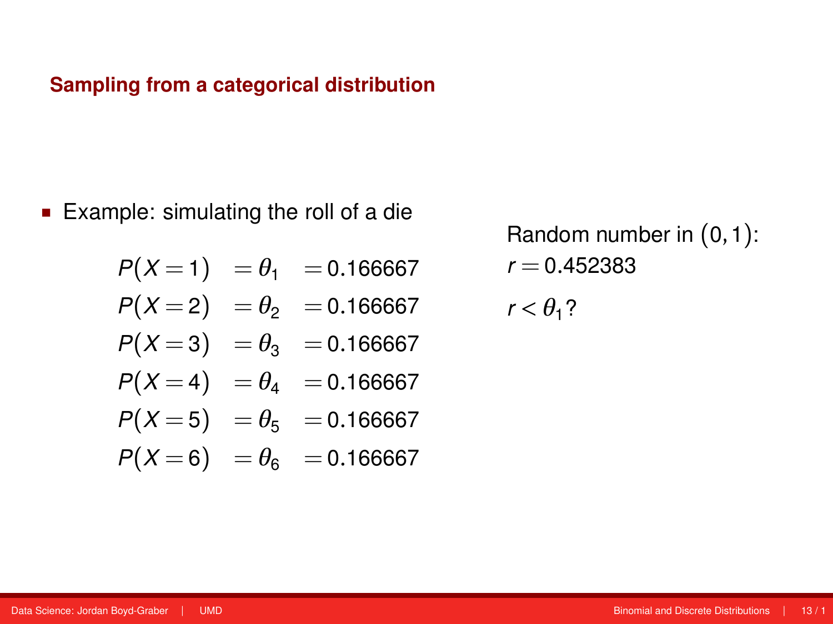Example: simulating the roll of a die

$$
P(X=1) = \theta_1 = 0.166667
$$

$$
P(X=2) = \theta_2 = 0.166667
$$

$$
P(X=3) = \theta_3 = 0.166667
$$

$$
P(X=4) = \theta_4 = 0.166667
$$

$$
P(X=5) = \theta_5 = 0.166667
$$

$$
P(X=6) = \theta_6 = 0.166667
$$

Random number in (0,1):  $r = 0.452383$ 

 $r < \theta_1$ ?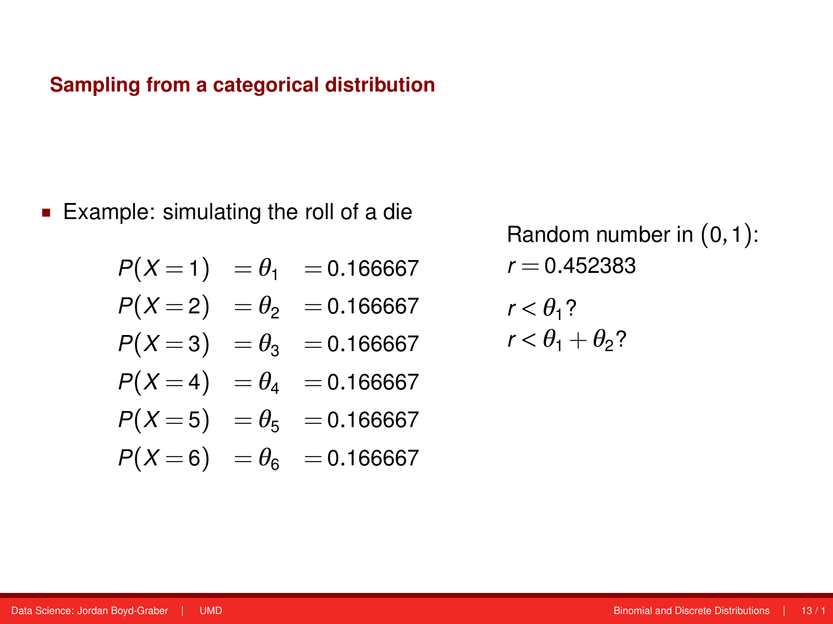Example: simulating the roll of a die

$$
P(X=1) = \theta_1 = 0.166667
$$

$$
P(X=2) = \theta_2 = 0.166667
$$

$$
P(X=3) = \theta_3 = 0.166667
$$

$$
P(X=4) = \theta_4 = 0.166667
$$

$$
P(X=5) = \theta_5 = 0.166667
$$

$$
P(X=6) = \theta_6 = 0.166667
$$

$$
r < \theta_1?
$$
\n
$$
r < \theta_1 + \theta_2?
$$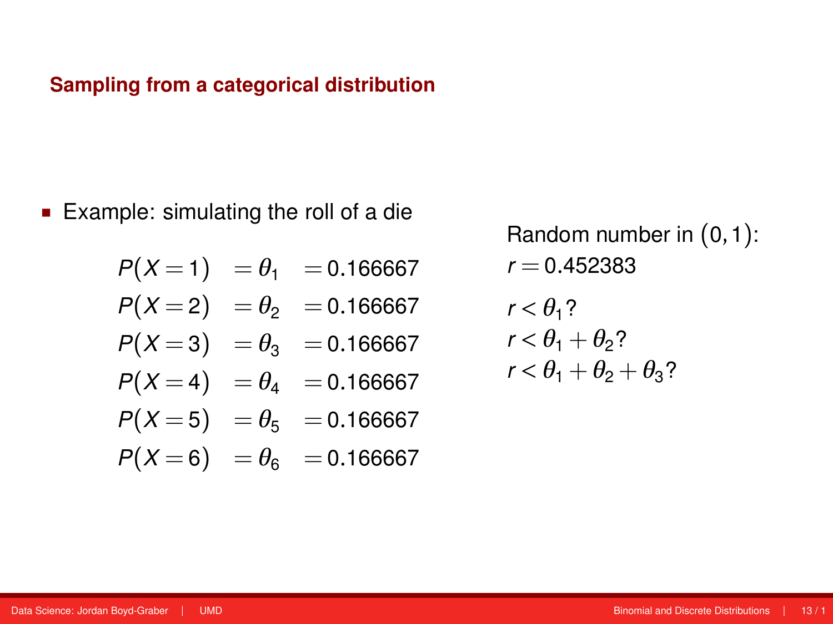■ Example: simulating the roll of a die

$$
P(X=1) = \theta_1 = 0.166667
$$
  

$$
P(X=2) = \theta_2 = 0.166667
$$

 $P(X=3) = \theta_3 = 0.166667$ 

$$
P(X=4) = \theta_4 = 0.166667
$$

- $P(X=5) = \theta_5 = 0.166667$
- $P(X=6) = \theta_6 = 0.166667$

Random number in (0,1):  $r = 0.452383$  $r < \theta$ <sup>1</sup>?  $r < \theta_1 + \theta_2$ ?  $r < \theta_1 + \theta_2 + \theta_3$ ?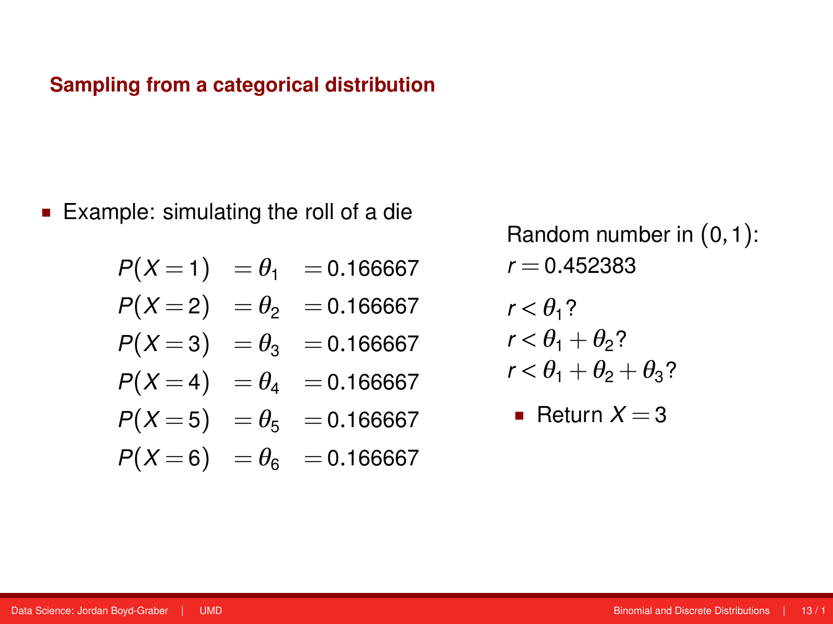■ Example: simulating the roll of a die

$$
P(X=1) = \theta_1 = 0.166667
$$
  
\n
$$
P(X=2) = \theta_2 = 0.166667
$$
  
\n
$$
P(X=3) = \theta_3 = 0.166667
$$

 $P(X=4) = \theta_4 = 0.166667$ 

$$
P(X=5) = \theta_5 = 0.166667
$$

$$
P(X=6) = \theta_6 = 0.166667
$$

Random number in (0,1):  $r = 0.452383$  $r < \theta_1$ ?  $r < \theta_1 + \theta_2$ ?

$$
r < \theta_1 + \theta_2 + \theta_3?
$$

• Return 
$$
X = 3
$$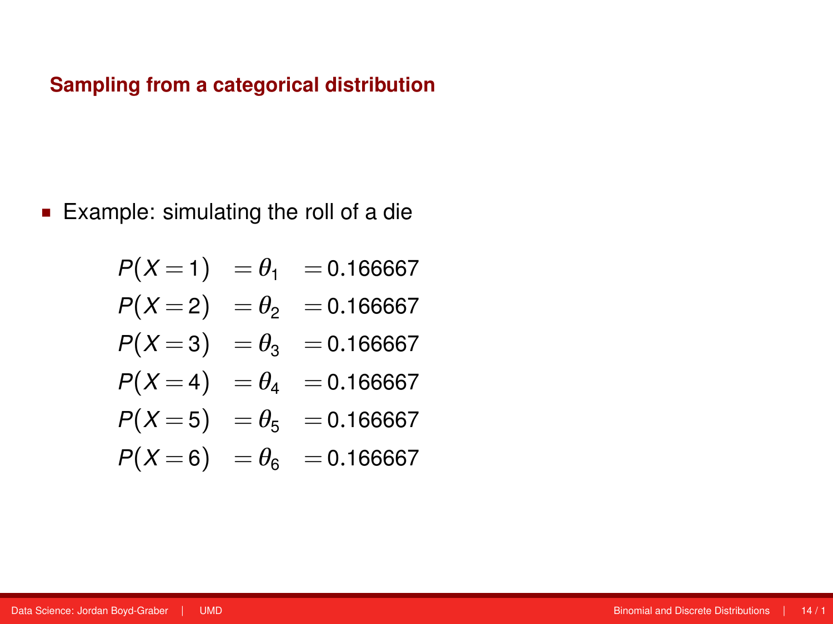Example: simulating the roll of a die

$$
P(X=1) = \theta_1 = 0.166667
$$
  
\n
$$
P(X=2) = \theta_2 = 0.166667
$$
  
\n
$$
P(X=3) = \theta_3 = 0.166667
$$
  
\n
$$
P(X=4) = \theta_4 = 0.166667
$$
  
\n
$$
P(X=5) = \theta_5 = 0.166667
$$
  
\n
$$
P(X=6) = \theta_6 = 0.166667
$$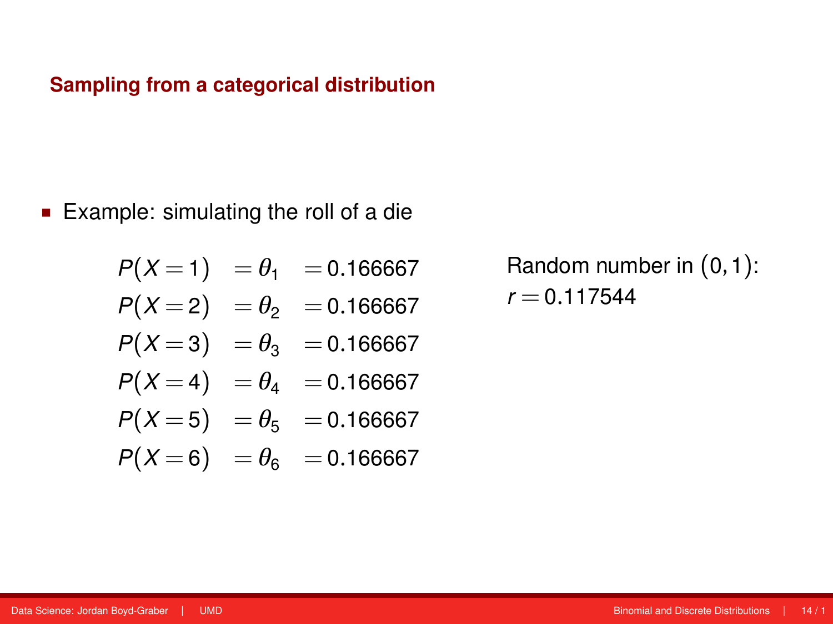■ Example: simulating the roll of a die

$$
P(X=1) = \theta_1 = 0.166667
$$
  
\n
$$
P(X=2) = \theta_2 = 0.166667
$$
  
\n
$$
P(X=3) = \theta_3 = 0.166667
$$
  
\n
$$
P(X=4) = \theta_4 = 0.166667
$$

- $P(X=5) = \theta_5 = 0.166667$
- $P(X=6) = \theta_6 = 0.166667$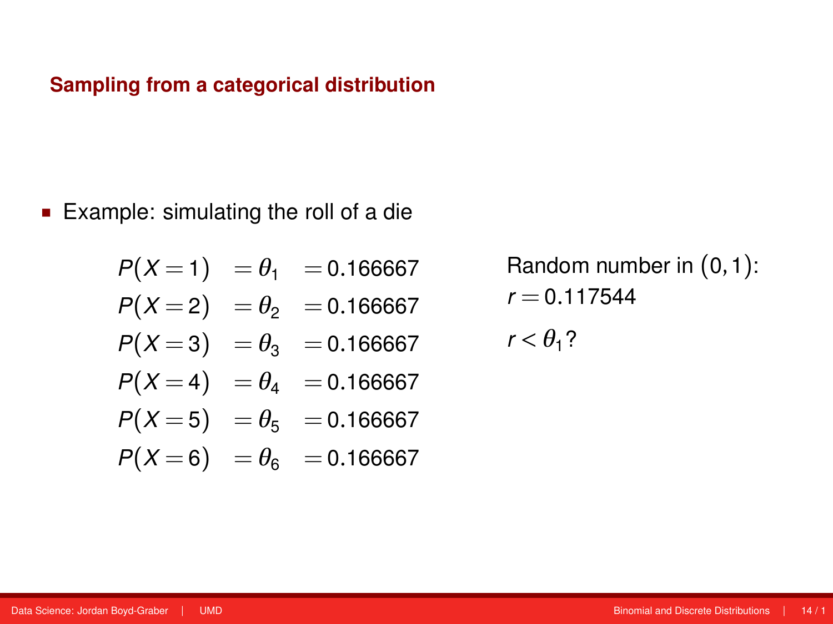Example: simulating the roll of a die

$$
P(X=1) = \theta_1 = 0.166667
$$
  
\n
$$
P(X=2) = \theta_2 = 0.166667
$$
  
\n
$$
P(X=3) = \theta_3 = 0.166667
$$
  
\n
$$
P(X=4) = \theta_4 = 0.166667
$$
  
\n
$$
P(X=5) = \theta_5 = 0.166667
$$
  
\n
$$
P(X=6) = \theta_6 = 0.166667
$$

Random number in (0,1):  $r = 0.117544$ 

 $r < \theta_1$ ?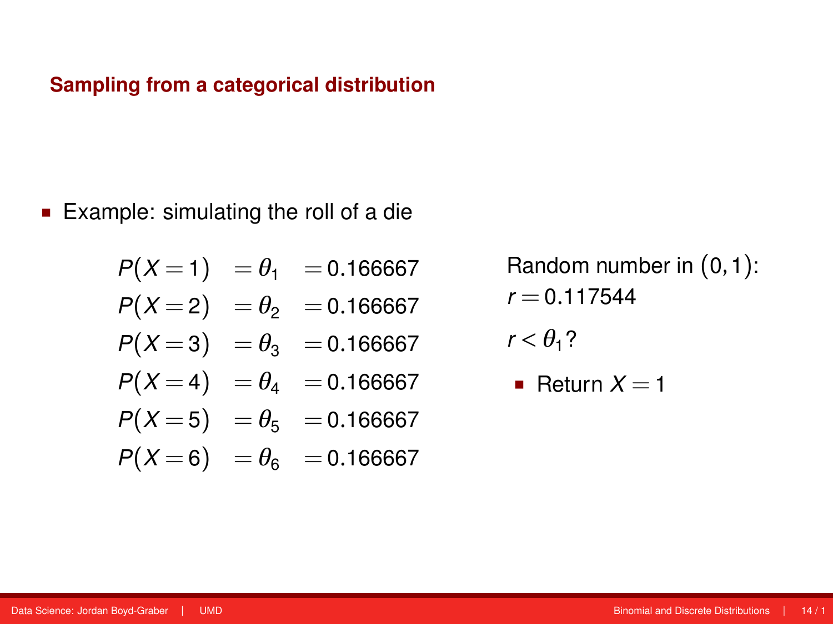Example: simulating the roll of a die

$$
P(X=1) = \theta_1 = 0.166667
$$
  
\n
$$
P(X=2) = \theta_2 = 0.166667
$$
  
\n
$$
P(X=3) = \theta_3 = 0.166667
$$

$$
P(X=4) = \theta_4 = 0.166667
$$

$$
P(X=5) = \theta_5 = 0.166667
$$

$$
P(X=6) = \theta_6 = 0.166667
$$

$$
r < \theta_1?
$$

• Return 
$$
X = 1
$$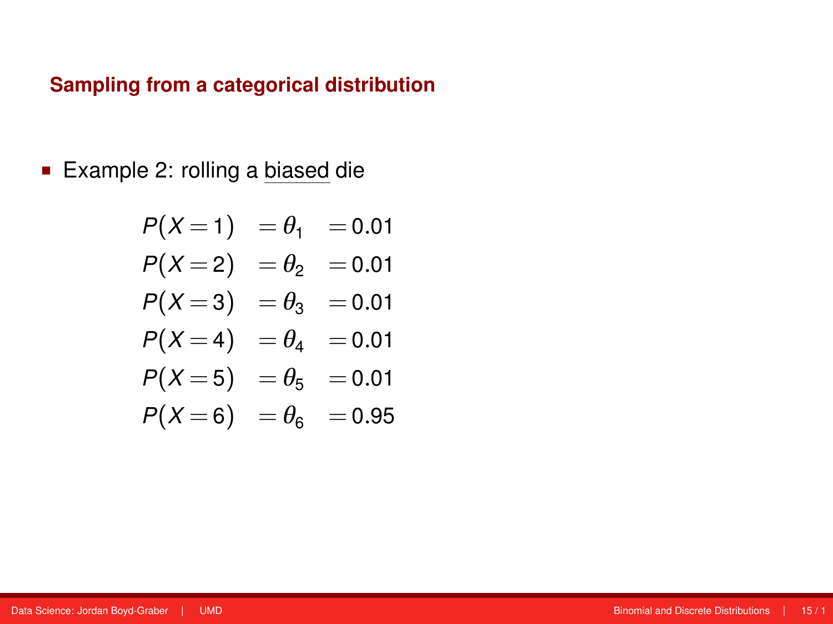■ Example 2: rolling a biased die

$$
P(X=1) = \theta_1 = 0.01
$$
  
\n
$$
P(X=2) = \theta_2 = 0.01
$$
  
\n
$$
P(X=3) = \theta_3 = 0.01
$$
  
\n
$$
P(X=4) = \theta_4 = 0.01
$$
  
\n
$$
P(X=5) = \theta_5 = 0.01
$$
  
\n
$$
P(X=6) = \theta_6 = 0.95
$$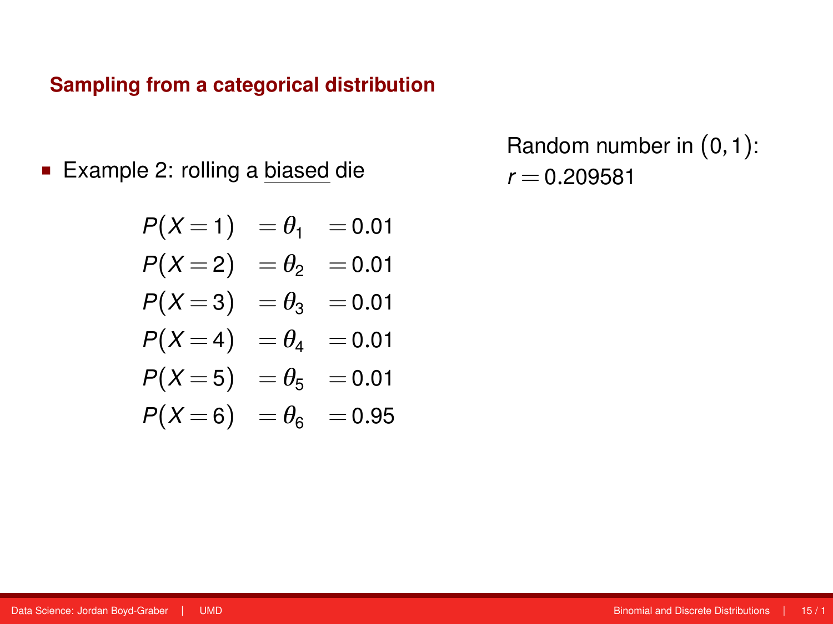**Example 2: rolling a biased die** 

$$
P(X=1) = \theta_1 = 0.01
$$
  
\n
$$
P(X=2) = \theta_2 = 0.01
$$
  
\n
$$
P(X=3) = \theta_3 = 0.01
$$
  
\n
$$
P(X=4) = \theta_4 = 0.01
$$
  
\n
$$
P(X=5) = \theta_5 = 0.01
$$
  
\n
$$
P(X=6) = \theta_6 = 0.95
$$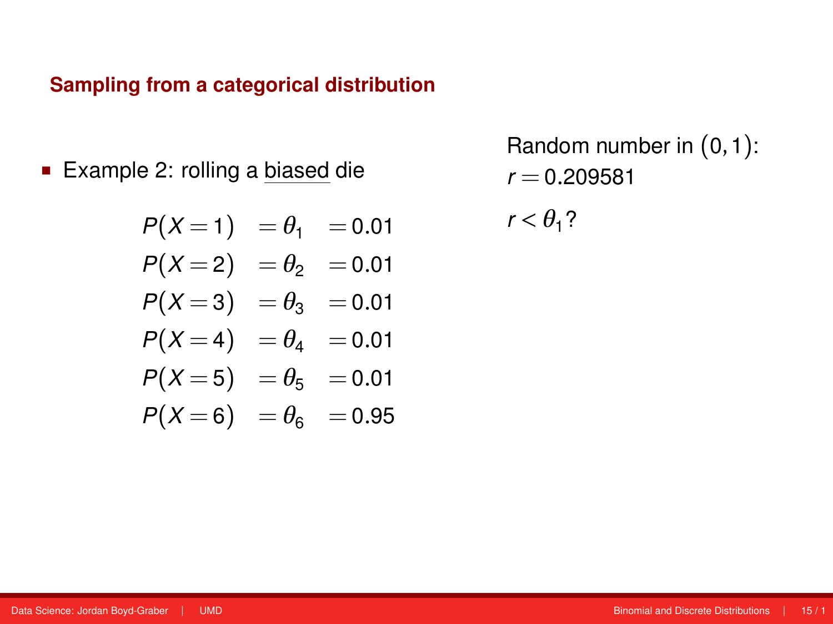■ Example 2: rolling a biased die

$$
P(X=1) = \theta_1 = 0.01
$$
  
\n
$$
P(X=2) = \theta_2 = 0.01
$$
  
\n
$$
P(X=3) = \theta_3 = 0.01
$$
  
\n
$$
P(X=4) = \theta_4 = 0.01
$$
  
\n
$$
P(X=5) = \theta_5 = 0.01
$$
  
\n
$$
P(X=6) = \theta_6 = 0.95
$$

Random number in (0,1):  $r = 0.209581$ 

 $r < \theta_1$ ?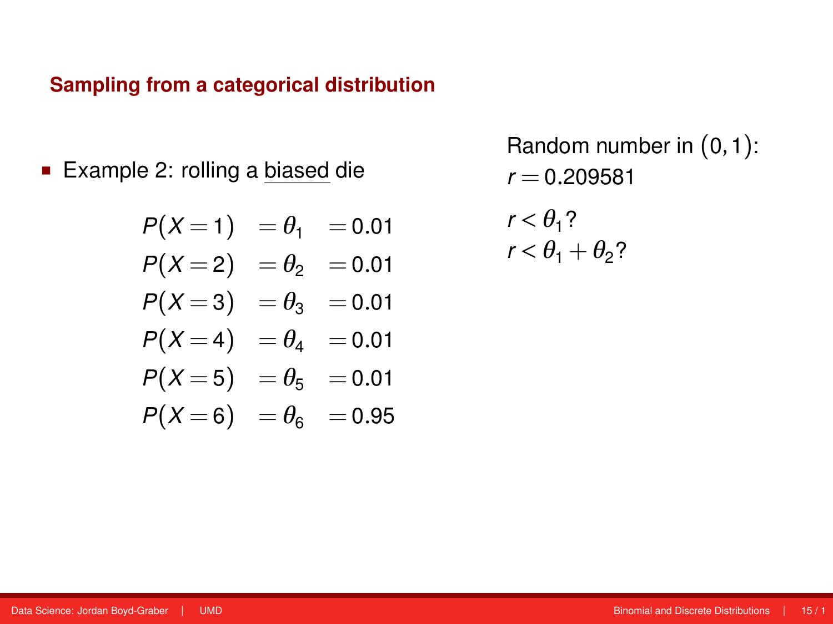**Example 2: rolling a biased die** 

$$
P(X=1) = \theta_1 = 0.01
$$
  
\n
$$
P(X=2) = \theta_2 = 0.01
$$
  
\n
$$
P(X=3) = \theta_3 = 0.01
$$
  
\n
$$
P(X=4) = \theta_4 = 0.01
$$
  
\n
$$
P(X=5) = \theta_5 = 0.01
$$
  
\n
$$
P(X=6) = \theta_6 = 0.95
$$

$$
r < \theta_1?
$$
\n
$$
r < \theta_1 + \theta_2?
$$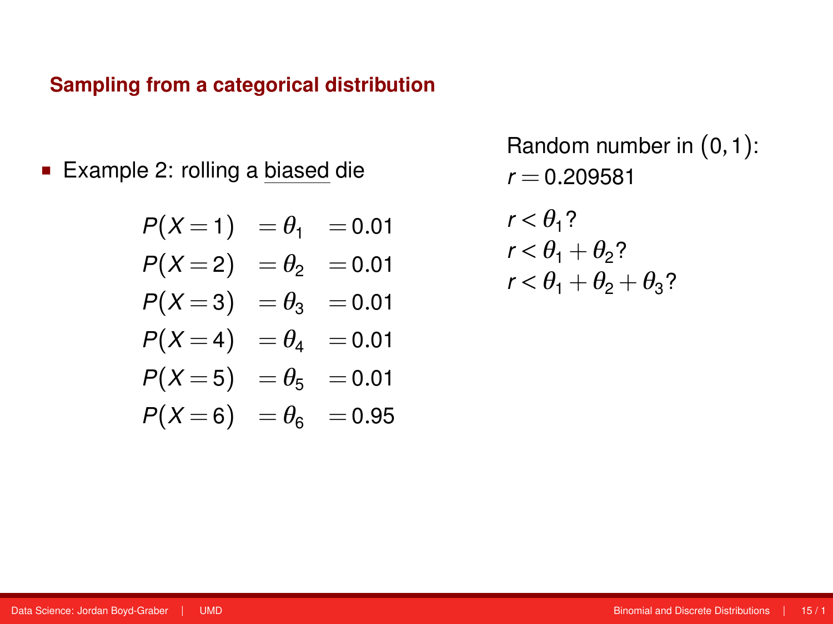**Example 2: rolling a biased die** 

$$
P(X=1) = \theta_1 = 0.01
$$
  
\n
$$
P(X=2) = \theta_2 = 0.01
$$
  
\n
$$
P(X=3) = \theta_3 = 0.01
$$
  
\n
$$
P(X=4) = \theta_4 = 0.01
$$
  
\n
$$
P(X=5) = \theta_5 = 0.01
$$
  
\n
$$
P(X=6) = \theta_6 = 0.95
$$

$$
r < \theta_1?
$$
  
\n
$$
r < \theta_1 + \theta_2?
$$
  
\n
$$
r < \theta_1 + \theta_2 + \theta_3?
$$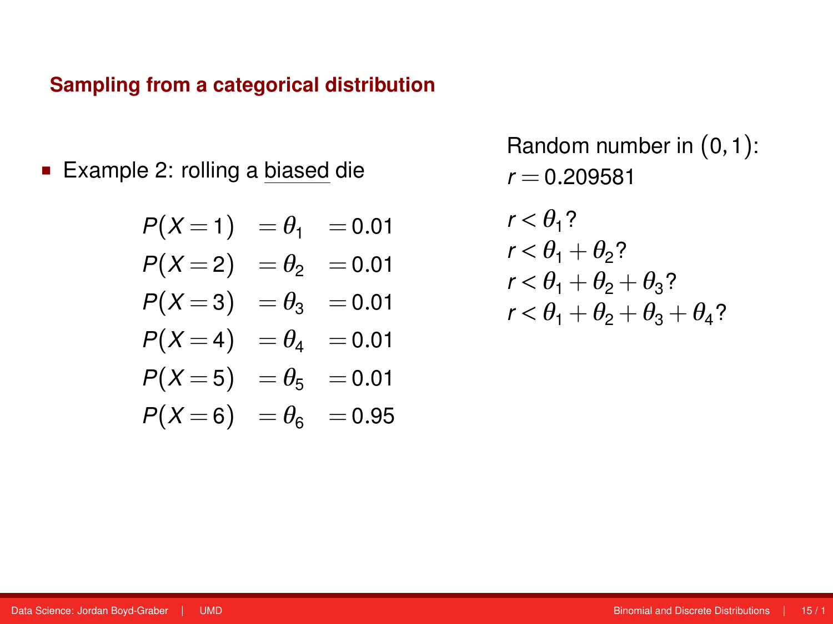**Example 2: rolling a biased die** 

$$
P(X=1) = \theta_1 = 0.01
$$
  
\n
$$
P(X=2) = \theta_2 = 0.01
$$
  
\n
$$
P(X=3) = \theta_3 = 0.01
$$
  
\n
$$
P(X=4) = \theta_4 = 0.01
$$
  
\n
$$
P(X=5) = \theta_5 = 0.01
$$
  
\n
$$
P(X=6) = \theta_6 = 0.95
$$

$$
r < \theta_1?
$$
  
\n
$$
r < \theta_1 + \theta_2?
$$
  
\n
$$
r < \theta_1 + \theta_2 + \theta_3?
$$
  
\n
$$
r < \theta_1 + \theta_2 + \theta_3 + \theta_4?
$$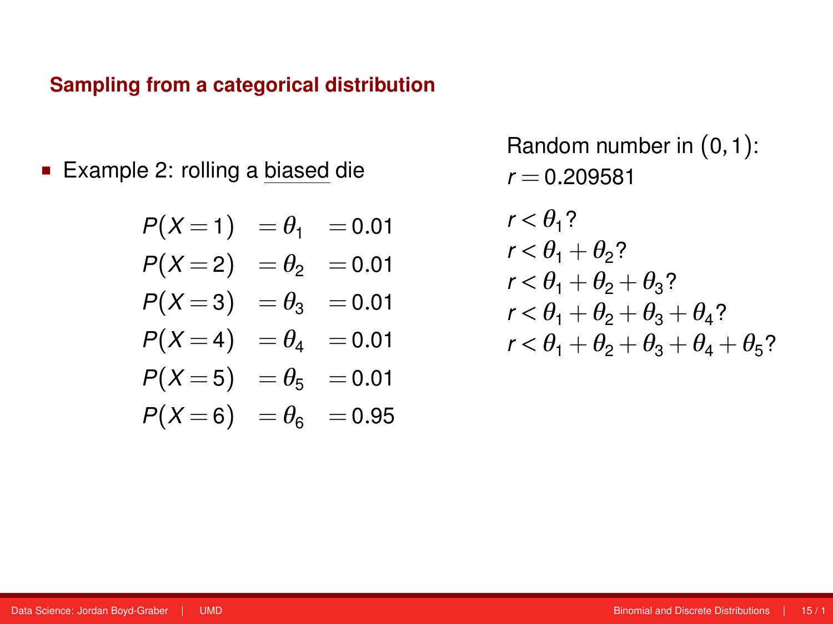**Example 2: rolling a biased die** 

$$
P(X=1) = \theta_1 = 0.01
$$
  
\n
$$
P(X=2) = \theta_2 = 0.01
$$
  
\n
$$
P(X=3) = \theta_3 = 0.01
$$
  
\n
$$
P(X=4) = \theta_4 = 0.01
$$
  
\n
$$
P(X=5) = \theta_5 = 0.01
$$
  
\n
$$
P(X=6) = \theta_6 = 0.95
$$

$$
r < \theta_1?
$$
  
\n
$$
r < \theta_1 + \theta_2?
$$
  
\n
$$
r < \theta_1 + \theta_2 + \theta_3?
$$
  
\n
$$
r < \theta_1 + \theta_2 + \theta_3 + \theta_4?
$$
  
\n
$$
r < \theta_1 + \theta_2 + \theta_3 + \theta_4 + \theta_5?
$$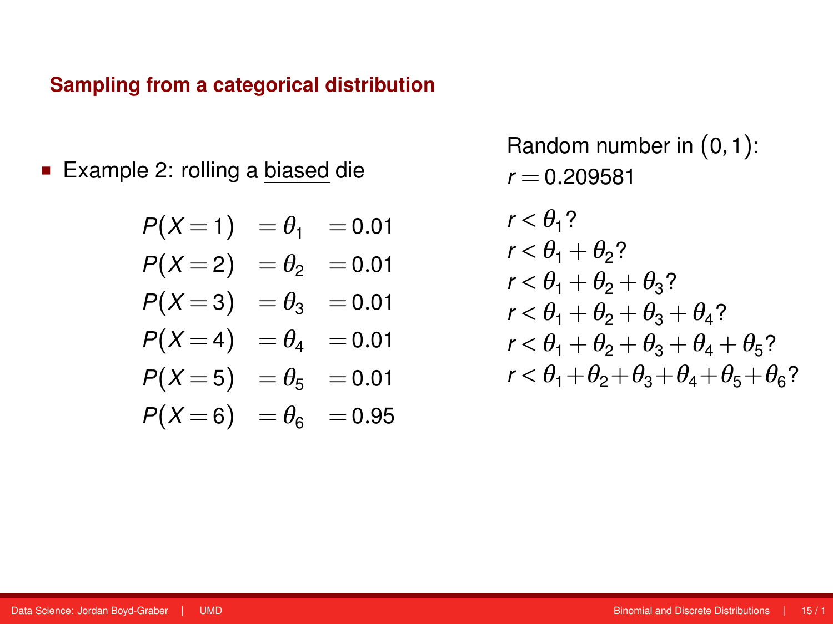**Example 2: rolling a biased die** 

$$
P(X=1) = \theta_1 = 0.01
$$
  
\n
$$
P(X=2) = \theta_2 = 0.01
$$
  
\n
$$
P(X=3) = \theta_3 = 0.01
$$
  
\n
$$
P(X=4) = \theta_4 = 0.01
$$
  
\n
$$
P(X=5) = \theta_5 = 0.01
$$
  
\n
$$
P(X=6) = \theta_6 = 0.95
$$

$$
r < \theta_1?
$$
  
\n
$$
r < \theta_1 + \theta_2?
$$
  
\n
$$
r < \theta_1 + \theta_2 + \theta_3?
$$
  
\n
$$
r < \theta_1 + \theta_2 + \theta_3 + \theta_4?
$$
  
\n
$$
r < \theta_1 + \theta_2 + \theta_3 + \theta_4 + \theta_5?
$$
  
\n
$$
r < \theta_1 + \theta_2 + \theta_3 + \theta_4 + \theta_5 + \theta_6?
$$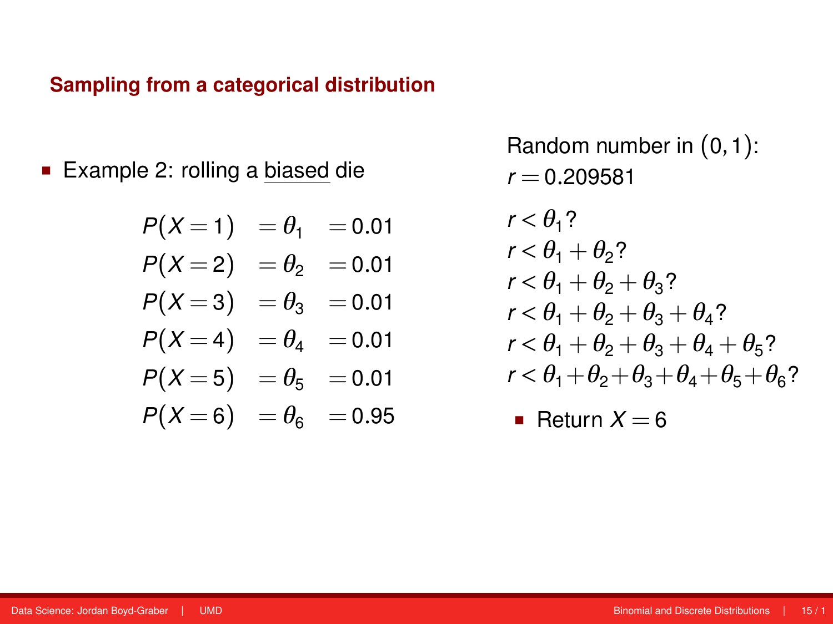■ Example 2: rolling a biased die

$$
P(X=1) = \theta_1 = 0.01
$$
  
\n
$$
P(X=2) = \theta_2 = 0.01
$$
  
\n
$$
P(X=3) = \theta_3 = 0.01
$$
  
\n
$$
P(X=4) = \theta_4 = 0.01
$$
  
\n
$$
P(X=5) = \theta_5 = 0.01
$$
  
\n
$$
P(X=6) = \theta_6 = 0.95
$$

Random number in (0,1):  $r = 0.209581$ 

$$
r < \theta_1?
$$
  
\n
$$
r < \theta_1 + \theta_2?
$$
  
\n
$$
r < \theta_1 + \theta_2 + \theta_3?
$$
  
\n
$$
r < \theta_1 + \theta_2 + \theta_3 + \theta_4?
$$
  
\n
$$
r < \theta_1 + \theta_2 + \theta_3 + \theta_4 + \theta_5?
$$
  
\n
$$
r < \theta_1 + \theta_2 + \theta_3 + \theta_4 + \theta_5 + \theta_6?
$$

**Return**  $X = 6$